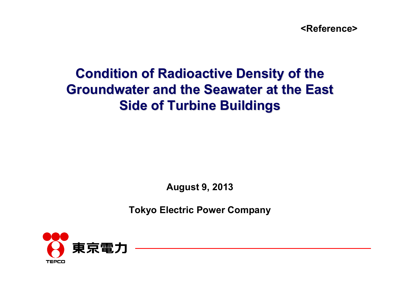**<Reference>**

# **Condition of Radioactive Density of the Groundwater and the Seawater at the East Side of Turbine Buildings Side of Turbine Buildings**

**August 9, 2013**

**Tokyo Electric Power Company**

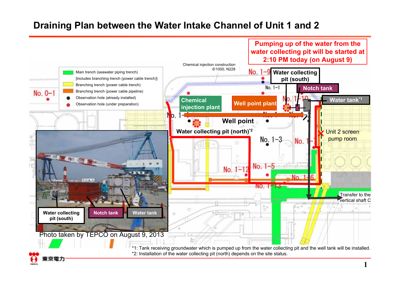### **Draining Plan between the Water Intake Channel of Unit 1 and 2**

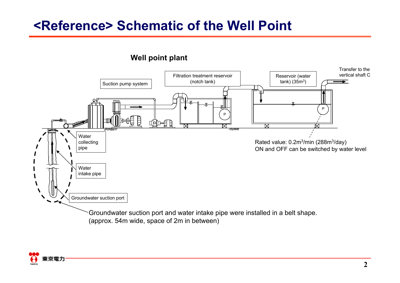# **<Reference> Schematic of the Well Point**



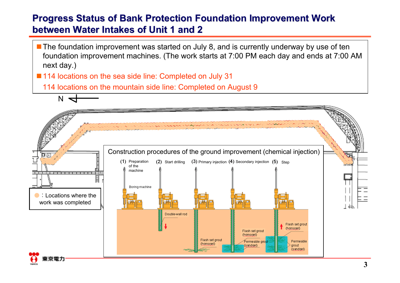### **Progress Status of Bank Protection Foundation Improvement Work between Water Intakes of Unit 1 and 2 between Water Intakes of Unit 1 and 2**

**The foundation improvement was started on July 8, and is currently underway by use of ten** foundation improvement machines. (The work starts at 7:00 PM each day and ends at 7:00 AM next day.)

■ 114 locations on the sea side line: Completed on July 31

 $N \nightharpoonup$ 

114 locations on the mountain side line: Completed on August 9



**3**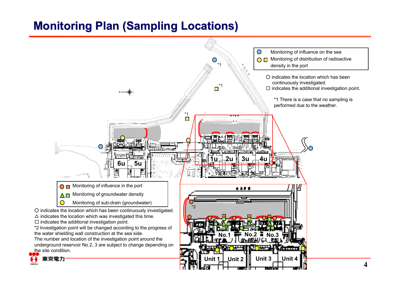# **Monitoring Plan (Sampling Locations) Monitoring Plan (Sampling Locations)**

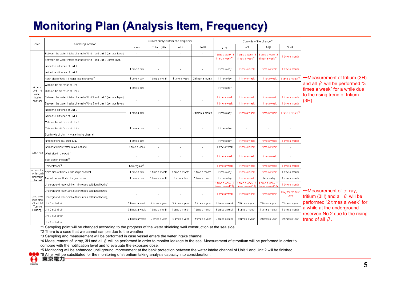# **Monitoring Plan (Analysis Item, Frequency) Monitoring Plan (Analysis Item, Frequency)**

|                            |                                                                       |                           |                          | Current analysis item and frequency |                 |                                     |                                     | Contents of the change*4            |                              |                                           |
|----------------------------|-----------------------------------------------------------------------|---------------------------|--------------------------|-------------------------------------|-----------------|-------------------------------------|-------------------------------------|-------------------------------------|------------------------------|-------------------------------------------|
| Area                       | Sampling location                                                     | y ray                     | Tritium (3H)             | All <sub>B</sub>                    | Sr-90           | y ray                               | $H-3$                               | All B                               | $Sr-90$                      |                                           |
|                            | Between the water intake channel of Unit 1 and Unit 2 (surface layer) | ÷                         | $\sim$                   | $\sim$                              | ä,              | 1 time a week (3                    | 1 time a week (3                    | 1 time a week (3                    |                              |                                           |
|                            | Between the water intake channel of Unit 1 and Unit 2 (lower layer)   |                           | $\sim$                   |                                     |                 | times a week <sup>*5</sup>          | times a week <sup>55</sup> )        | times a week <sup>*5</sup> )        | 1 time a month               |                                           |
|                            | Inside the silt fence of Unit 1                                       |                           |                          |                                     |                 |                                     |                                     |                                     |                              |                                           |
|                            | Inside the silt fence of Unit 2                                       | 1 time a day              | $\sim$                   |                                     | $\sim$          | 1 time a day                        | 1 time a week                       | 1 time a week                       | 1 time a month               |                                           |
|                            | North side of Unit 1-4 water intake channel <sup>*1</sup>             | 1 time a day              | 1 time a month           | 1 time a week                       | 2 times a month | 1 time a day                        | 1 time a week                       | 1 time a week                       | 1 time a month <sup>*6</sup> | $\leftarrow$ Measurement of tritium (3H)  |
| Around                     | Outside the silt fence of Unit 1                                      |                           |                          |                                     |                 | 1 time a dav                        |                                     |                                     |                              | and all $\beta$ will be performed "3      |
| <b>Unit 1-4</b>            | Outside the silt fence of Unit 2                                      | 1 time a day              | $\sim$                   |                                     |                 |                                     |                                     | $\alpha$                            | $\sim$                       | times a week" for a while due             |
| water<br>intake<br>channel | Between the water intake channel of Unit 2 and Unit 3 (surface layer) |                           |                          |                                     |                 | 1 time a week                       | 1 time a week                       | 1 time a week                       | 1 time a month               | to the rising trend of tritium            |
|                            | Between the water intake channel of Unit 3 and Unit 4 (surface layer) | ٠                         | $\overline{\phantom{a}}$ |                                     | ÷,              | 1 time a week                       | 1 time a week                       | 1 time a week                       | 1 time a month               | $(3H)$ .                                  |
|                            | Inside the silt fence of Unit 3                                       |                           |                          |                                     |                 |                                     |                                     |                                     |                              |                                           |
|                            | Inside the silt fence of Unit 4                                       | 1 time a day              | $\overline{\phantom{a}}$ |                                     | 2 times a month | 1 time a day                        | 1 time a week                       | 1 time a week                       | 1 time a month <sup>*6</sup> |                                           |
|                            | Outside the silt fence of Unit 3                                      |                           |                          |                                     |                 |                                     |                                     |                                     |                              |                                           |
|                            | Outside the silt fence of Unit 4                                      | 1 time a day              |                          |                                     |                 | 1 time a day                        |                                     | $\sim$                              |                              |                                           |
|                            | South side of Unit 1-4 water intake channel                           |                           |                          |                                     |                 |                                     |                                     |                                     |                              |                                           |
|                            | In front of shallow draft quay                                        | 1 time a day              | $\sim$                   | $\sim$                              | $\sim$          | 1 time a day                        | 1 time a week                       | 1 time a week                       | 1 time a month               |                                           |
|                            | In front of Unit 6 water intake channel                               | 1 time a week             | ÷                        | $\sim$                              | ÷.              | 1 time a week                       | 1 time a week                       | 1 time a week                       | ×.                           |                                           |
|                            | In the port West side in the port <sup>*2</sup>                       |                           | $\sim$                   |                                     |                 | 1 time a week                       | 1 time a week                       | 1 time a week                       | $\alpha$                     |                                           |
|                            | East side in the port <sup>*2</sup>                                   |                           |                          |                                     |                 |                                     |                                     |                                     |                              |                                           |
|                            | Port entrance <sup>*2</sup>                                           | Non-regular <sup>*3</sup> | $\overline{\phantom{a}}$ | $\overline{\phantom{a}}$            | ÷,              | 1 time a week                       | 1 time a week                       | 1 time a week                       | 1 time a month               |                                           |
| Around the<br>north/south  | North side of Unit 5,6 discharge channel                              | 1 time a day              | 1 time a month           | 1 time a month                      | 1 time a month  | 1 time a day                        | 1 time a week                       | 1 time a week                       | 1 time a month               |                                           |
| discharge<br>channel       | Around the south discharge channel                                    | 1 time a day              | 1 time a month           | 1 time a day                        | 1 time a month  | 1 time a day                        | 1 time a week                       | 1 time a day                        | 1 time a month               |                                           |
|                            | Underground reservoir No.1 (includes additional boring)               | ÷,                        | $\sim$                   |                                     | ÷.              | l time a week (2<br>times a week*5) | 1 time a week (2<br>times a week*5) | 1 time a week (2<br>times a week*5) | 1 time a month               |                                           |
|                            | Underground reservoir No.2 (includes additional boring)               |                           | $\sim$                   |                                     | ÷.              | 1 time a week                       | 1 time a week                       | 1 time a week                       | Only for the first           | $\leftarrow$ Measurement of $\gamma$ ray, |
| Land area<br>(sea side     | Underground reservoir No.3 (includes additional boring)               |                           |                          |                                     |                 |                                     |                                     |                                     | time                         | tritium (3H) and all $\beta$ will be      |
| of Unit 1-4<br>Turbine     | Unit 1 sub-drain                                                      | 3 times a week            | 2 times a year           | 2 times a year                      | 2 times a year  | 3 times a week                      | 2 times a year                      | 2 times a year                      | 2 times a year               | performed "2 times a week" for            |
| Building)                  | Unit 2 sub-drain                                                      | 3 times a week            | 1 time a month           | 1 time a month                      | 1 time a month  | 3 times a week                      | 1 time a month                      | 1 time a month                      | 1 time a month               | a while at the underground                |
|                            | Unit 3 sub-drain                                                      | 3 times a week            | 2 times a year           | 2 times a year                      | 2 times a year  | 3 times a week                      | 2 times a year                      | 2 times a year                      | 2 times a year               | reservoir No.2 due to the rising          |
|                            | Unit 4 sub-drain                                                      |                           |                          |                                     |                 |                                     |                                     |                                     |                              | trend of all $\beta$ .                    |

\*1 Sampling point will be changed according to the progress of the water shielding wall construction at the sea side.

\*2 There is a case that we cannot sample due to the weather.

\*3 Sampling and measurement will be performed in case vessel enters the water intake channel.

\*4 Measurement of  $\gamma$  ray, 3H and all  $\beta$  will be performed in order to monitor leakage to the sea. Measurement of strontium will be performed in order to compare with the notification level and to evaluate the exposure dose.

\*5 Monitoring will be enhanced until ground improvement at the bank protection between the water intake channel of Unit 1 and Unit 2 will be finished.

\*6 All β will be substituted for the monitoring of strontium taking analysis capacity into consideration.

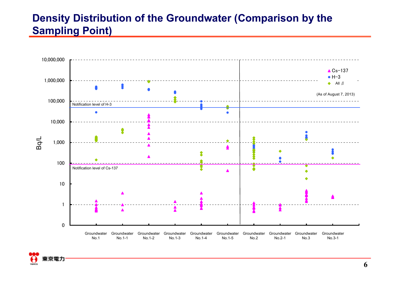## **Density Distribution of the Groundwater (Comparison by the Sampling Point)**



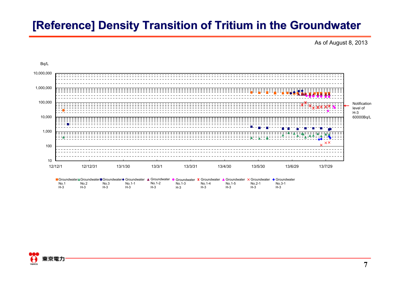# **[Reference] Density Transition of Tritium in the Groundwater [Reference] Density Transition of Tritium in the Groundwater**



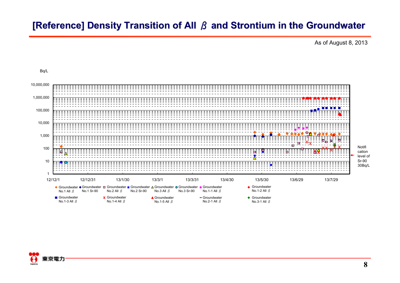### **[Reference] Density Transition of All** *β* and Strontium in the Groundwater

As of August 8, 2013



Bq/L

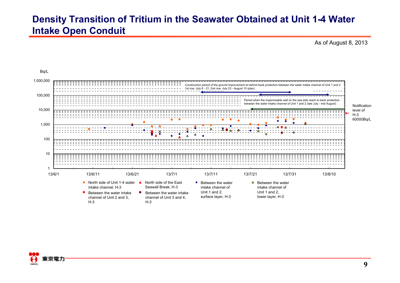### **Density Transition of Tritium in the Seawater Obtained at Unit 1-4 Water Intake Open Conduit**



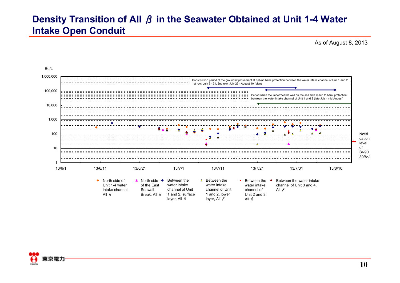### **Density Transition of All** β **in the Seawater Obtained at Unit 1-4 Water Intake Open Conduit**



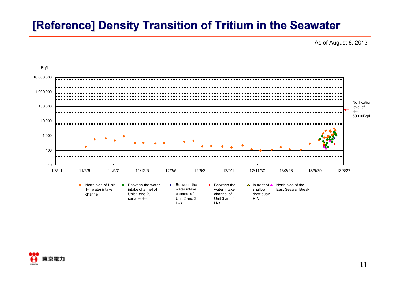# **[Reference] Density Transition of Tritium in the Seawater [Reference] Density Transition of Tritium in the Seawater**



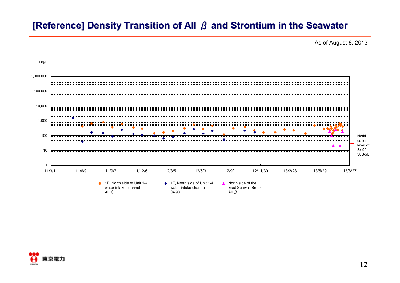## **[Reference] Density Transition of All** *β* and Strontium in the Seawater

As of August 8, 2013





Bq/L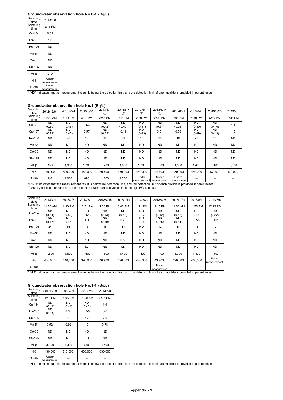#### **Groundwater observation hole No.0-1** (Bq/L)

| Sampling<br>date | 2013/8/8             |
|------------------|----------------------|
| Sampling<br>time | 2:15 PM              |
| Cs-134           | 0.61                 |
| $Cs - 137$       | 1.6                  |
| Ru-106           | ND                   |
| Mn-54            | <b>ND</b>            |
| Co-60            | ND                   |
| Sb-125           | <b>ND</b>            |
| All β            | 210                  |
| H-3              | Under                |
|                  | measurement<br>Under |
| Sr-90            | measurement          |
|                  |                      |

Theasurement | measurement | measurement result is below the detection limit, and the detection limit of each nuclide is provided in parentheses.

|                  |                        |              |           | <u>_ u</u>          |                     |                         |                                              |                     |                     |               |           |
|------------------|------------------------|--------------|-----------|---------------------|---------------------|-------------------------|----------------------------------------------|---------------------|---------------------|---------------|-----------|
| Sampling<br>date | 2012/12/8 <sup>2</sup> | 2013/5/24    | 2013/5/31 | 2013/6/7<br>∩       | 2013/6/7<br>2       | 2013/6/14<br>$\bigcirc$ | 2013/6/14<br>(2)                             | 2013/6/21           | 2013/6/25           | 2013/6/28     | 2013/7/1  |
| Sampling<br>time | 11:00 AM               | 4:19 PM      | 3:01 PM   | 3:45 PM             | 3:45 PM             | 2:29 PM                 | 2:29 PM                                      | 9:01 AM             | 1:39 PM             | 5:50 PM       | 3:05 PM   |
| Cs-134           | <b>ND</b><br>(0.59)    | ND<br>(0.45) | 0.53      | <b>ND</b><br>(0.42) | <b>ND</b><br>(0.40) | <b>ND</b><br>(0.37)     | <b>ND</b><br>(0.37)                          | <b>ND</b><br>(0.36) | <b>ND</b><br>(0.39) | ND.<br>(0.40) | 1.1       |
| Cs-137           | ND.<br>(0.72)          | ND<br>(0.45) | 0.57      | ND.<br>(0.53)       | 0.49                | ND.<br>(0.43)           | 0.51                                         | 0.53                | ND.<br>(0.49)       | ND.<br>(0.43) | 1.5       |
| Ru-106           | ND.                    | 26           | 19        | 19                  | 21                  | 18                      | 19                                           | 16                  | 20                  | 16            | ND        |
| Mn-54            | ND.                    | <b>ND</b>    | <b>ND</b> | <b>ND</b>           | ND.                 | <b>ND</b>               | <b>ND</b>                                    | <b>ND</b>           | <b>ND</b>           | <b>ND</b>     | <b>ND</b> |
| $Co-60$          | ND.                    | <b>ND</b>    | ND.       | <b>ND</b>           | ND.                 | <b>ND</b>               | ND                                           | <b>ND</b>           | <b>ND</b>           | <b>ND</b>     | ND        |
| Sb-125           | <b>ND</b>              | <b>ND</b>    | <b>ND</b> | <b>ND</b>           | ND.                 | <b>ND</b>               | <b>ND</b>                                    | <b>ND</b>           | <b>ND</b>           | <b>ND</b>     | <b>ND</b> |
| All $\beta$      | 150                    | 1,900        | 1,300     | 1,700               | 1,600               | 1,200                   | 1,300                                        | 1,500               | 1,400               | 1,400         | 1,300     |
| $H-3$            | 29,000                 | 500.000      | 460,000   | 500.000             | 470.000             | 450.000                 | 440.000                                      | 430.000             | 450.000             | 430.000       | 420.000   |
| Sr-90            | 8.6                    | 1,000        | 890       | 1,200               | 1,200               | Under                   | Under<br>moacuromont moacuromont moacuromont | Under               |                     |               |           |

#### **Groundwater observation hole No.1** (Bq/L)

Sr-90 8.6 1,000 890 1,200 1,200 moles and measurement  $\frac{1}{2}$  measurement  $\frac{1}{2}$  moles and measurement  $\frac{1}{2}$  moles and measurement  $\frac{1}{2}$  moles and measurement  $\frac{1}{2}$  measurement  $\frac{1}{2}$  measurement  $\frac{1$ 

| Sampling<br>date | 2013/7/4            | 2013/7/8            | 2013/7/11           | 2013/7/15           | 2013/7/19           | 2013/7/22           | 2013/7/25            | 2013/7/29           | 2013/8/1            | 2013/8/5             |
|------------------|---------------------|---------------------|---------------------|---------------------|---------------------|---------------------|----------------------|---------------------|---------------------|----------------------|
| Sampling<br>time | 11:50 AM            | 1:30 PM             | 12:51 PM            | 1:00 PM             | 8:02 AM             | 1:21 PM             | 1:15 PM              | 11:50 AM            | 11:55 AM            | 12:23 PM             |
| Cs-134           | <b>ND</b><br>(0.64) | ND<br>(0.50)        | <b>ND</b><br>(0.61) | <b>ND</b><br>(0.43) | <b>ND</b><br>(0.48) | <b>ND</b><br>(0.42) | <b>ND</b><br>(0.42)  | <b>ND</b><br>(0.46) | <b>ND</b><br>(0.44) | ND<br>(0.52)         |
| Cs-137           | <b>ND</b><br>(0.47) | <b>ND</b><br>(0.47) | 1.0                 | <b>ND</b><br>(0.49) | 0.73                | <b>ND</b><br>(0.45) | <b>ND</b><br>(0.55)  | <b>ND</b><br>(0.51) | 0.55                | 0.62                 |
| Ru-106           | 24                  | 16                  | 15                  | 18                  | 17                  | <b>ND</b>           | 12                   | 17                  | 14                  | 17                   |
| Mn-54            | <b>ND</b>           | <b>ND</b>           | <b>ND</b>           | <b>ND</b>           | <b>ND</b>           | <b>ND</b>           | <b>ND</b>            | <b>ND</b>           | <b>ND</b>           | <b>ND</b>            |
| $Co-60$          | <b>ND</b>           | <b>ND</b>           | <b>ND</b>           | <b>ND</b>           | 0.50                | <b>ND</b>           | <b>ND</b>            | <b>ND</b>           | <b>ND</b>           | <b>ND</b>            |
| Sb-125           | <b>ND</b>           | <b>ND</b>           | 1.7                 | ND.                 | <b>ND</b>           | <b>ND</b>           | <b>ND</b>            | ND.                 | <b>ND</b>           | <b>ND</b>            |
| All $\beta$      | 1,500               | 1,800               | 1,600               | 1,500               | 1,400               | 1,400               | 1,400                | 1,300               | 1,300               | 1,400                |
| $H-3$            | 430,000             | 410.000             | 390.000             | 400,000             | 420,000             | 430,000             | 430.000              | 420.000             | 440.000             | Under<br>measurement |
| Sr-90            |                     |                     |                     |                     |                     |                     | Under<br>meseurament |                     |                     |                      |

measurement --- \* "ND" indicates that the measurement result is below the detection limit, and the detection limit of each nuclide is provided in parentheses.

#### **Groundwater observation hole No.1-1** (Bq/L)

| Sampling<br>date | 2013/6/28            | 2013/7/1            | 2013/7/5            | 2013/7/8  |
|------------------|----------------------|---------------------|---------------------|-----------|
| Sampling<br>time | 4:40 PM              | 4:05 PM             | 11:00 AM            | 2:35 PM   |
| Cs-134           | ND<br>(0.41)         | <b>ND</b><br>(0.44) | <b>ND</b><br>(0.42) | 1.9       |
| Cs-137           | <b>ND</b><br>(0.51)  | 0.98                | 0.55                | 3.6       |
| Ru-106           |                      | 7.8                 | 7.7                 | 7.9       |
| Mn-54            | 0.52                 | 0.92                | 1.0                 | 0.78      |
| $Co-60$          | <b>ND</b>            | <b>ND</b>           | <b>ND</b>           | <b>ND</b> |
| Sb-125           | <b>ND</b>            | <b>ND</b>           | <b>ND</b>           | <b>ND</b> |
| All <sub>β</sub> | 3,000                | 4,300               | 3,800               | 4.400     |
| $H-3$            | 430,000              | 510,000             | 600,000             | 630,000   |
| Sr-90            | Under<br>measurement |                     |                     |           |

 $\frac{S}{S}$ -90  $\frac{S}{S}$   $\frac{S}{S}$   $\frac{S}{S}$   $\frac{S}{S}$   $\frac{S}{S}$   $\frac{S}{S}$   $\frac{S}{S}$   $\frac{S}{S}$   $\frac{S}{S}$   $\frac{S}{S}$   $\frac{S}{S}$   $\frac{S}{S}$   $\frac{S}{S}$   $\frac{S}{S}$   $\frac{S}{S}$   $\frac{S}{S}$   $\frac{S}{S}$   $\frac{S}{S}$   $\frac{S}{S}$   $\frac{S}{S}$   $\frac{S}{S}$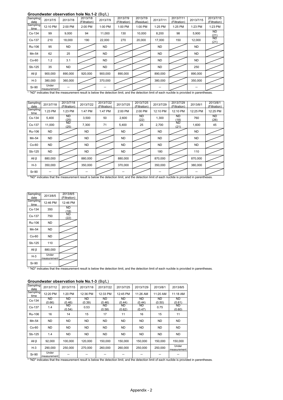#### **Groundwater observation hole No.1-2** (Bq/L)

| Sampling<br>date | 2013/7/5             | 2013/7/8  | 2013/7/8<br>(Filtration) | 2013/7/9  | 2013/7/9<br>(Filtration) | 2013/7/9<br>(Residue) | 2013/7/11         | 2013/7/11<br>(Filtration) | 2013/7/15 | 2013/7/15<br>(Filtration) |
|------------------|----------------------|-----------|--------------------------|-----------|--------------------------|-----------------------|-------------------|---------------------------|-----------|---------------------------|
| Sampling<br>time | 12:10 PM             | 2:00 PM   | 2:00 PM                  | 1:00 PM   | 1:00 PM                  | 1:00 PM               | 1:25 PM           | 1:25 PM                   | 1:23 PM   | 1:23 PM                   |
| Cs-134           | 99                   | 9,000     | 94                       | 11,000    | 130                      | 10,000                | 8,200             | 98                        | 5,900     | ND<br>(21)                |
| Cs-137           | 210                  | 18,000    | 190                      | 22,000    | 270                      | 20,000                | 17,000            | 150                       | 12,000    | <b>ND</b><br>(21)         |
| Ru-106           | 95                   | <b>ND</b> |                          | <b>ND</b> |                          |                       | <b>ND</b>         |                           | <b>ND</b> |                           |
| Mn-54            | 62                   | 25        |                          | <b>ND</b> |                          |                       | <b>ND</b>         |                           | <b>ND</b> |                           |
| $Co-60$          | 1.2                  | 3.1       |                          | <b>ND</b> |                          |                       | <b>ND</b>         |                           | <b>ND</b> |                           |
| Sb-125           | 35                   | <b>ND</b> |                          | <b>ND</b> |                          |                       | <b>ND</b>         |                           | 250       |                           |
| All $\beta$      | 900.000              | 890,000   | 920,000                  | 900.000   | 890.000                  |                       | 890,000           |                           | 890,000   |                           |
| $H-3$            | 380,000              | 360,000   |                          | 370,000   |                          |                       | 380,000           |                           | 350,000   |                           |
| Sr-90<br>.       | Under<br>measurement |           |                          |           |                          |                       | $\cdots$ $\cdots$ | $\cdots$                  |           |                           |

\* "ND" indicates that the measurement result is below the detection limit, and the detection limit of each nuclide is provided in parentheses.

| Sampling<br>date | 2013/7/18 | 2013/7/18<br>(Filtration) | 2013/7/22 | 2013/7/22<br>(Filtration) | 2013/7/25 | 2013/7/25<br>(Filtration) | 2013/7/29 | 2013/7/29<br>(Filtration) | 2013/8/1  | 2013/8/1<br>(Filtration) |
|------------------|-----------|---------------------------|-----------|---------------------------|-----------|---------------------------|-----------|---------------------------|-----------|--------------------------|
| Sampling<br>time | 1:23 PM   | 1:23 PM                   | 1:47 PM   | 1:47 PM                   | 2:00 PM   | 2:00 PM                   | 12:10 PM  | 12:10 PM                  | 12:25 PM  | 12:25 PM                 |
| Cs-134           | 5,400     | ND<br>(25)                | 3,500     | 50                        | 2,600     | ND<br>(22)                | 1,300     | ND<br>(18)                | 760       | ND<br>(26)               |
| Cs-137           | 11,000    | ND.<br>(25)               | 7,300     | 71                        | 5,400     | 25                        | 2,700     | ND.<br>(21)               | 1,600     | 45                       |
| Ru-106           | <b>ND</b> |                           | <b>ND</b> |                           | <b>ND</b> |                           | <b>ND</b> |                           | <b>ND</b> |                          |
| Mn-54            | <b>ND</b> |                           | <b>ND</b> |                           | <b>ND</b> |                           | <b>ND</b> |                           | <b>ND</b> |                          |
| $Co-60$          | <b>ND</b> |                           | <b>ND</b> |                           | <b>ND</b> |                           | <b>ND</b> |                           | <b>ND</b> |                          |
| Sb-125           | <b>ND</b> |                           | <b>ND</b> |                           | <b>ND</b> |                           | 180       |                           | 110       |                          |
| All $\beta$      | 880,000   |                           | 880,000   |                           | 880,000   |                           | 870,000   |                           | 870,000   |                          |
| $H-3$            | 350.000   |                           | 350.000   |                           | 370.000   |                           | 350.000   |                           | 380,000   |                          |
| Sr-90            |           |                           |           |                           |           |                           |           |                           |           |                          |

\* "ND" indicates that the measurement result is below the detection limit, and the detection limit of each nuclide is provided in parentheses.

| Sampling<br>date | 2013/8/5                             | 2013/8/5<br>(Filtration) |
|------------------|--------------------------------------|--------------------------|
| Sampling<br>time | 12:46 PM                             | 12:46 PM                 |
| Cs-134           | 350                                  | ND<br>(18)               |
| Cs-137           | 750                                  | ND<br>(22)               |
| Ru-106           | ND                                   |                          |
| Mn-54            | <b>ND</b>                            |                          |
| $Co-60$          | ND                                   |                          |
| Sb-125           | 110                                  |                          |
| All $\beta$      | 880,000                              |                          |
| H-3              | Under<br>measurement                 |                          |
| Sr-90            |                                      |                          |
|                  | * "ND" indicates that the measuremer |                          |

\* "ND" indicates that the measurement result is below the detection limit, and the detection limit of each nuclide is provided in parentheses.

| Sampling<br>date | 2013/7/12                                                                                                                                      | 2013/7/15    | 2013/7/18           | 2013/7/22     | 2013/7/25           | 2013/7/29           | 2013/8/1     | 2013/8/5             |
|------------------|------------------------------------------------------------------------------------------------------------------------------------------------|--------------|---------------------|---------------|---------------------|---------------------|--------------|----------------------|
| Sampling<br>time | 12:20 PM                                                                                                                                       | 1:20 PM      | 12:36 PM            | 12:33 PM      | 12:45 PM            | 11:26 AM            | 11:20 AM     | 11:18 AM             |
| Cs-134           | ND.<br>(0.66)                                                                                                                                  | ND<br>(0.46) | <b>ND</b><br>(0.39) | ND.<br>(0.46) | <b>ND</b><br>(0.44) | <b>ND</b><br>(0.44) | ND<br>(0.50) | ND<br>(0.61)         |
| Cs-137           | 1.4                                                                                                                                            | ND<br>(0.54) | 0.53                | ND.<br>(0.58) | ND.<br>(0.62)       | ND.<br>(0.47)       | 0.75         | ND.<br>(0.60)        |
| Ru-106           | 16                                                                                                                                             | 14           | 15                  | 17            | 11                  | 16                  | 15           | 11                   |
| Mn-54            | ND.                                                                                                                                            | <b>ND</b>    | <b>ND</b>           | ND.           | ND.                 | <b>ND</b>           | <b>ND</b>    | <b>ND</b>            |
| $Co-60$          | ND.                                                                                                                                            | ND           | ND.                 | ND.           | <b>ND</b>           | <b>ND</b>           | ND.          | <b>ND</b>            |
| Sb-125           | 1.4                                                                                                                                            | <b>ND</b>    | ND.                 | ND.           | ND.                 | <b>ND</b>           | ND.          | <b>ND</b>            |
| All <sub>β</sub> | 92,000                                                                                                                                         | 100,000      | 120,000             | 150,000       | 150,000             | 150,000             | 150,000      | 150,000              |
| $H-3$            | 290.000                                                                                                                                        | 250,000      | 270.000             | 260,000       | 260,000             | 250.000             | 250,000      | Under<br>measurement |
| Sr-90            | Under<br>measurement                                                                                                                           |              |                     |               |                     |                     |              |                      |
|                  | * "ND" indicates that the measurement result is below the detection limit, and the detection limit of each nuclide is provided in parentheses. |              |                     |               |                     |                     |              |                      |

#### **Groundwater observation hole No.1-3** (Bq/L)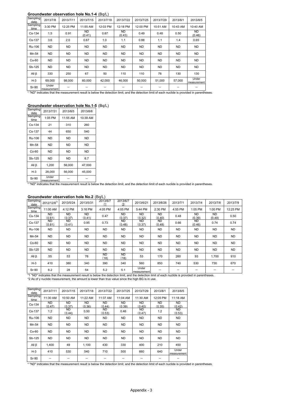#### **Groundwater observation hole No.1-4** (Bq/L)

| Sampling<br>date | 2013/7/8             | 2013/7/11 | 2013/7/15    | 2013/7/18 | 2013/7/22           | 2013/7/25 | 2013/7/29 | 2013/8/1  | 2013/8/5             |
|------------------|----------------------|-----------|--------------|-----------|---------------------|-----------|-----------|-----------|----------------------|
| Sampling<br>time | 3:30 PM              | 12:25 PM  | 11:55 AM     | 12:03 PM  | 12:18 PM            | 12:00 PM  | 10:51 AM  | 10:43 AM  | 10:40 AM             |
| Cs-134           | 1.5                  | 0.91      | ND<br>(0.41) | 0.67      | <b>ND</b><br>(0.43) | 0.49      | 0.48      | 0.50      | <b>ND</b><br>(0.46)  |
| Cs-137           | 3.6                  | 2.0       | 0.67         | 1.0       | 1.1                 | 0.88      | 1.1       | 1.4       | 0.65                 |
| Ru-106           | <b>ND</b>            | <b>ND</b> | <b>ND</b>    | <b>ND</b> | ND.                 | <b>ND</b> | <b>ND</b> | <b>ND</b> | <b>ND</b>            |
| Mn-54            | ND.                  | <b>ND</b> | <b>ND</b>    | ND.       | ND.                 | <b>ND</b> | <b>ND</b> | <b>ND</b> | <b>ND</b>            |
| $Co-60$          | ND.                  | <b>ND</b> | <b>ND</b>    | <b>ND</b> | <b>ND</b>           | <b>ND</b> | <b>ND</b> | <b>ND</b> | <b>ND</b>            |
| Sb-125           | ND.                  | <b>ND</b> | <b>ND</b>    | <b>ND</b> | <b>ND</b>           | <b>ND</b> | <b>ND</b> | <b>ND</b> | <b>ND</b>            |
| All $\beta$      | 330                  | 250       | 67           | 50        | 110                 | 110       | 78        | 130       | 130                  |
| $H-3$            | 69,000               | 98,000    | 60.000       | 42,000    | 46,000              | 50.000    | 51,000    | 57,000    | Under<br>measurement |
| Sr-90            | Under<br>measurement |           |              |           |                     |           |           |           |                      |

#### **Groundwater observation hole No.1-5** (Bq/L)

| Sampling<br>date | 2013/7/31            | 2013/8/5  | 2013/8/6  |
|------------------|----------------------|-----------|-----------|
| Sampling<br>time | 1:05 PM              | 11:55 AM  | 10:38 AM  |
| Cs-134           | 21                   | 310       | 260       |
| Cs-137           | 44                   | 650       | 540       |
| Ru-106           | ND                   | <b>ND</b> | <b>ND</b> |
| Mn-54            | ND                   | <b>ND</b> | <b>ND</b> |
| $Co-60$          | ND                   | <b>ND</b> | <b>ND</b> |
| Sb-125           | ND                   | ND.       | 6.7       |
| All $\beta$      | 1.200                | 56,000    | 47.000    |
| $H-3$            | 28,000               | 56,000    | 45,000    |
| Sr-90            | Under<br>mooouromont |           |           |

Sr-90 Under measurement - - \* "ND" indicates that the measurement result is below the detection limit, and the detection limit of each nuclide is provided in parentheses.

#### **Groundwater observation hole No.2** (Bq/L)

| Sampling<br>date                                                                                                                                | 2012/12/8 <sup>2</sup> | 2013/5/24           | 2013/5/31     | 2013/6/7          | 2013/6/7<br>$\circled{2}$ | 2013/6/21                                                                                        | 2013/6/26           | 2013/7/1  | 2013/7/4            | 2013/7/8                  | 2013/7/9  |  |
|-------------------------------------------------------------------------------------------------------------------------------------------------|------------------------|---------------------|---------------|-------------------|---------------------------|--------------------------------------------------------------------------------------------------|---------------------|-----------|---------------------|---------------------------|-----------|--|
| Sampling<br>time                                                                                                                                | 11:00 AM               | 4:12 PM             | 3:16 PM       | 4:05 PM           | 4:05 PM                   | 5:44 PM                                                                                          | 2:30 PM             | 4:55 PM   | 1:05 PM             | 1:00 PM                   | 12:25 PM  |  |
| Cs-134                                                                                                                                          | ND.<br>(0.61)          | ND<br>(0.37)        | ND.<br>(0.41) | 0.47              | <b>ND</b><br>(0.37)       | ND <sup>-</sup><br>(0.32)                                                                        | ND.<br>(0.40)       | 0.48      | <b>ND</b><br>(0.39) | ND <sup>-</sup><br>(0.49) | 0.50      |  |
| Cs-137                                                                                                                                          | ND.<br>(0.81)          | <b>ND</b><br>(0.41) | 0.95          | 0.73              | <b>ND</b><br>(0.48)       | ND.<br>(0.37)                                                                                    | <b>ND</b><br>(0.48) | 0.66      | <b>ND</b><br>(0.46) | 0.74                      | 0.74      |  |
| Ru-106                                                                                                                                          | <b>ND</b>              | <b>ND</b>           | <b>ND</b>     | <b>ND</b>         | <b>ND</b>                 | <b>ND</b>                                                                                        | ND.                 | <b>ND</b> | <b>ND</b>           | ND.                       | <b>ND</b> |  |
| Mn-54                                                                                                                                           | <b>ND</b>              | <b>ND</b>           | <b>ND</b>     | <b>ND</b>         | <b>ND</b>                 | <b>ND</b>                                                                                        | <b>ND</b>           | <b>ND</b> | <b>ND</b>           | <b>ND</b>                 | <b>ND</b> |  |
| $Co-60$                                                                                                                                         | ND.                    | ND.                 | <b>ND</b>     | <b>ND</b>         | <b>ND</b>                 | ND.                                                                                              | ND.                 | <b>ND</b> | <b>ND</b>           | <b>ND</b>                 | <b>ND</b> |  |
| Sb-125                                                                                                                                          | <b>ND</b>              | <b>ND</b>           | <b>ND</b>     | <b>ND</b>         | <b>ND</b>                 | <b>ND</b>                                                                                        | ND.                 | <b>ND</b> | <b>ND</b>           | <b>ND</b>                 | <b>ND</b> |  |
| All $\beta$                                                                                                                                     | 55                     | 53                  | 76            | <b>ND</b><br>(18) | ND<br>(18)                | 53                                                                                               | 170                 | 260       | 93                  | 1,700                     | 910       |  |
| $H-3$                                                                                                                                           | 410                    | 380                 | 340           | 390               | 340                       | 560                                                                                              | 850                 | 740       | 530                 | 730                       | 670       |  |
| $Sr-90$                                                                                                                                         | 8.2                    | 28                  | 54            | 5.2               | 5.1                       | Under<br>measurement                                                                             |                     |           |                     |                           |           |  |
| *1 "ND" indicates that the measurement result is below the detection limit, and the detection limit of each nuclide is provided in parentheses. |                        |                     |               |                   |                           |                                                                                                  |                     |           |                     |                           |           |  |
|                                                                                                                                                 |                        |                     |               |                   |                           | *2 As of y nuclide measurement, the amount is lower than true value since the high BG is in use. |                     |           |                     |                           |           |  |

| Sampling<br>date | 2013/7/11     | 2013/7/15     | 2013/7/18           | 2013/7/22           | 2013/7/25           | 2013/7/29           | 2013/8/1            | 2013/8/5             |
|------------------|---------------|---------------|---------------------|---------------------|---------------------|---------------------|---------------------|----------------------|
| Sampling<br>time | 11:30 AM      | 10:50 AM      | 11:22 AM            | 11:37 AM            | 11:04 AM            | 11:30 AM            | 12:05 PM            | 11:18 AM             |
| Cs-134           | ND.<br>(0.47) | ND.<br>(0.37) | <b>ND</b><br>(0.36) | <b>ND</b><br>(0.44) | <b>ND</b><br>(0.39) | <b>ND</b><br>(0.40) | <b>ND</b><br>(0.35) | <b>ND</b><br>(0.42)  |
| Cs-137           | 1.2           | ND.<br>(0.44) | 0.50                | ND<br>(0.53)        | 0.46                | ND<br>(0.47)        | 1.2                 | ND.<br>(0.53)        |
| Ru-106           | ND.           | <b>ND</b>     | <b>ND</b>           | <b>ND</b>           | <b>ND</b>           | <b>ND</b>           | <b>ND</b>           | <b>ND</b>            |
| Mn-54            | ND.           | <b>ND</b>     | <b>ND</b>           | <b>ND</b>           | <b>ND</b>           | <b>ND</b>           | <b>ND</b>           | <b>ND</b>            |
| $Co-60$          | ND.           | <b>ND</b>     | <b>ND</b>           | <b>ND</b>           | <b>ND</b>           | <b>ND</b>           | <b>ND</b>           | <b>ND</b>            |
| Sb-125           | ND.           | <b>ND</b>     | ND.                 | <b>ND</b>           | ND.                 | <b>ND</b>           | <b>ND</b>           | <b>ND</b>            |
| All $\beta$      | 1.400         | 49            | 1,100               | 430                 | 330                 | 400                 | 210                 | 450                  |
| $H-3$            | 410           | 530           | 540                 | 710                 | 500                 | 660                 | 640                 | Under<br>measurement |
| Sr-90            |               |               |                     |                     |                     |                     |                     |                      |

\* "ND" indicates that the measurement result is below the detection limit, and the detection limit of each nuclide is provided in parentheses.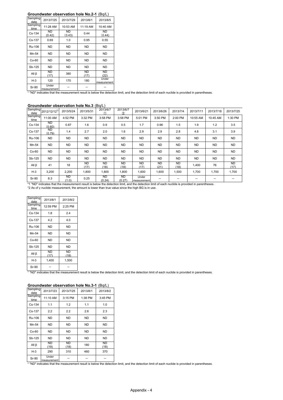#### **Groundwater observation hole No.2-1** (Bq/L)

| Sampling<br>date | 2013/7/25            | 2013/7/29           | 2013/8/1   | 2013/8/5             |
|------------------|----------------------|---------------------|------------|----------------------|
| Sampling<br>time | 11:28 AM             | 10:53 AM            | 11:19 AM   | 10:40 AM             |
| Cs-134           | ND<br>(0.42)         | <b>ND</b><br>(0.43) | 0.44       | <b>ND</b><br>(0.44)  |
| Cs-137           | 0.69                 | 1.0                 | 0.95       | 0.55                 |
| Ru-106           | <b>ND</b>            | <b>ND</b>           | <b>ND</b>  | <b>ND</b>            |
| Mn-54            | <b>ND</b>            | <b>ND</b>           | <b>ND</b>  | <b>ND</b>            |
| $Co-60$          | <b>ND</b>            | <b>ND</b>           | <b>ND</b>  | <b>ND</b>            |
| Sb-125           | <b>ND</b>            | <b>ND</b>           | <b>ND</b>  | <b>ND</b>            |
| All $\beta$      | ND<br>(17)           | 380                 | ND<br>(17) | ND<br>(22)           |
| $H-3$            | 120                  | 170                 | 180        | Under<br>measurement |
| Sr-90            | Under<br>measurement |                     |            |                      |

 $\frac{S}{S}$ -90  $\frac{S}{S}$   $\frac{S}{S}$   $\frac{S}{S}$   $\frac{S}{S}$   $\frac{S}{S}$   $\frac{S}{S}$   $\frac{S}{S}$   $\frac{S}{S}$   $\frac{S}{S}$   $\frac{S}{S}$   $\frac{S}{S}$   $\frac{S}{S}$   $\frac{S}{S}$   $\frac{S}{S}$   $\frac{S}{S}$   $\frac{S}{S}$   $\frac{S}{S}$   $\frac{S}{S}$   $\frac{S}{S}$   $\frac{S}{S}$   $\frac{S}{S}$ 

|        |  | Groundwater observation hole No.3 (Bq/L) |  |  |
|--------|--|------------------------------------------|--|--|
| ------ |  |                                          |  |  |

| Sampling<br>date | 2012/12/12 <sup>2</sup>                                                                                                                                                                                                                             | 2013/5/24   | 2013/5/31   | 2013/6/7            | 2013/6/7<br>(2) | 2013/6/21            | 2013/6/26         | 2013/7/4          | 2013/7/11 | 2013/7/18 | 2013/7/25  |
|------------------|-----------------------------------------------------------------------------------------------------------------------------------------------------------------------------------------------------------------------------------------------------|-------------|-------------|---------------------|-----------------|----------------------|-------------------|-------------------|-----------|-----------|------------|
| Sampling<br>time | 11:00 AM                                                                                                                                                                                                                                            | 4:52 PM     | 3:32 PM     | 3:58 PM             | 3:58 PM         | 5:01 PM              | 3:50 PM           | 2:00 PM           | 10:55 AM  | 10:45 AM  | 1:30 PM    |
| Cs-134           | ND.<br>(0.60)                                                                                                                                                                                                                                       | 0.87        | 1.6         | 0.9                 | 0.5             | 1.7                  | 0.96              | 1.5               | 1.9       | 1.2       | 3.5        |
| Cs-137           | ND.<br>(0.79)                                                                                                                                                                                                                                       | 1.4         | 2.7         | 2.0                 | 1.6             | 2.9                  | 2.9               | 2.8               | 4.8       | 3.1       | 3.9        |
| Ru-106           | ND.                                                                                                                                                                                                                                                 | ND.         | ND.         | ND.                 | ND.             | ND                   | ND                | <b>ND</b>         | <b>ND</b> | ND.       | ND.        |
| Mn-54            | ND.                                                                                                                                                                                                                                                 | <b>ND</b>   | ND.         | <b>ND</b>           | <b>ND</b>       | <b>ND</b>            | ND.               | <b>ND</b>         | <b>ND</b> | ND.       | ND.        |
| $Co-60$          | ND.                                                                                                                                                                                                                                                 | <b>ND</b>   | ND.         | <b>ND</b>           | <b>ND</b>       | <b>ND</b>            | ND.               | <b>ND</b>         | <b>ND</b> | ND.       | ND.        |
| Sb-125           | ND.                                                                                                                                                                                                                                                 | <b>ND</b>   | ND.         | <b>ND</b>           | <b>ND</b>       | <b>ND</b>            | <b>ND</b>         | <b>ND</b>         | <b>ND</b> | ND.       | ND.        |
| All $\beta$      | 41                                                                                                                                                                                                                                                  | 18          | ND.<br>(17) | <b>ND</b><br>(18)   | ND.<br>(18)     | <b>ND</b><br>(17)    | <b>ND</b><br>(21) | <b>ND</b><br>(18) | 1,400     | 76        | ND<br>(17) |
| $H-3$            | 3,200                                                                                                                                                                                                                                               | 2,200       | 1,800       | 1,800               | 1,800           | 1,600                | 1,600             | 1,500             | 1,700     | 1,700     | 1,700      |
| Sr-90            | 8.3                                                                                                                                                                                                                                                 | ND<br>(1.0) | 0.25        | <b>ND</b><br>(0.24) | ND.<br>(0.27)   | Under<br>measurement |                   |                   |           |           |            |
|                  | *1 "ND" indicates that the measurement result is below the detection limit, and the detection limit of each nuclide is provided in parentheses.<br>*2 As of y nuclide measurement, the amount is lower than true value since the high BG is in use. |             |             |                     |                 |                      |                   |                   |           |           |            |

| Sampling<br>date | 2013/8/1   | 2013/8/2   |
|------------------|------------|------------|
| Sampling<br>time | 12:59 PM   | $2:25$ PM  |
| Cs-134           | 1.8        | 2.4        |
| Cs-137           | 4.2        | 4.0        |
| Ru-106           | ND         | <b>ND</b>  |
| Mn-54            | ND         | <b>ND</b>  |
| $Co-60$          | ND         | <b>ND</b>  |
| Sb-125           | ND         | <b>ND</b>  |
| All $\beta$      | ND<br>(17) | ΝĐ<br>(18) |
| $H-3$            | 1,400      | 1,500      |
| Sr-90            |            |            |

\* "ND" indicates that the measurement result is below the detection limit, and the detection limit of each nuclide is provided in parentheses.

| Groundwater observation hole No.3-1<br>(Bq/L) |                      |            |           |                   |  |  |  |  |  |  |  |
|-----------------------------------------------|----------------------|------------|-----------|-------------------|--|--|--|--|--|--|--|
| Sampling<br>date                              | 2013/7/23            | 2013/7/25  | 2013/8/1  | 2013/8/2          |  |  |  |  |  |  |  |
| Sampling<br>time                              | 11:10 AM             | 3:15 PM    | 1:38 PM   | 3:45 PM           |  |  |  |  |  |  |  |
| Cs-134                                        | 1.1                  | 1.2        | 1.1       | 1.0               |  |  |  |  |  |  |  |
| Cs-137                                        | 2.2                  | 2.2        | 2.6       | 2.3               |  |  |  |  |  |  |  |
| Ru-106                                        | <b>ND</b>            | <b>ND</b>  | <b>ND</b> | <b>ND</b>         |  |  |  |  |  |  |  |
| Mn-54                                         | <b>ND</b>            | <b>ND</b>  | <b>ND</b> | <b>ND</b>         |  |  |  |  |  |  |  |
| $Co-60$                                       | <b>ND</b>            | <b>ND</b>  | <b>ND</b> | <b>ND</b>         |  |  |  |  |  |  |  |
| Sb-125                                        | <b>ND</b>            | <b>ND</b>  | <b>ND</b> | <b>ND</b>         |  |  |  |  |  |  |  |
| All <sub>β</sub>                              | ND<br>(19)           | ND<br>(18) | 180       | <b>ND</b><br>(18) |  |  |  |  |  |  |  |
| $H-3$                                         | 290                  | 310        | 460       | 370               |  |  |  |  |  |  |  |
| Sr-90                                         | Under<br>measurement |            |           |                   |  |  |  |  |  |  |  |

**Groundwater observation hole No.3-1** (Bq/L)

 $\frac{S}{S}$ -90  $\frac{S}{S}$   $\frac{S}{S}$   $\frac{S}{S}$   $\frac{S}{S}$   $\frac{S}{S}$   $\frac{S}{S}$   $\frac{S}{S}$   $\frac{S}{S}$   $\frac{S}{S}$   $\frac{S}{S}$   $\frac{S}{S}$   $\frac{S}{S}$   $\frac{S}{S}$   $\frac{S}{S}$   $\frac{S}{S}$   $\frac{S}{S}$   $\frac{S}{S}$   $\frac{S}{S}$   $\frac{S}{S}$   $\frac{S}{S}$   $\frac{S}{S}$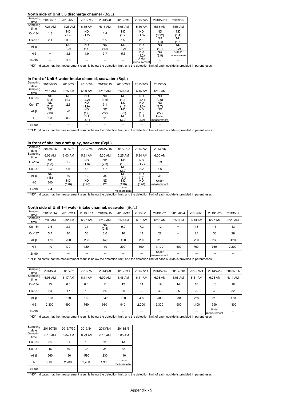#### **North side of Unit 5,6 discharge channel** (Bq/L)

| Sampling<br>date | 2013/6/21 | 2013/6/26 | 2013/7/3 | 2013/7/8 | 2013/7/15 | 2013/7/22                                                                                                                                      | 2013/7/29     | 2013/8/5       |
|------------------|-----------|-----------|----------|----------|-----------|------------------------------------------------------------------------------------------------------------------------------------------------|---------------|----------------|
| Sampling<br>time | 7:25 AM   | 11:25 AM  | 6:55 AM  | 6:15 AM  | 6:05 AM   | 5:50 AM                                                                                                                                        | 5:55 AM       | 6:55 AM        |
| Cs-134           | 1.8       | ND        | ND       | 1.4      | <b>ND</b> | <b>ND</b>                                                                                                                                      | ND.           | ND <sub></sub> |
|                  |           | (1.9)     | (1.2)    |          | (1.2)     | (1.3)                                                                                                                                          | (0.92)<br>ND. | (1.4)<br>ND.   |
| Cs-137           | 2.1       | 3.3       | 1.2      | 2.5      | 1.5       | 2.5                                                                                                                                            | (1.4)         | (1.5)          |
| All $\beta$      |           | <b>ND</b> | ND       | ND.      | <b>ND</b> | <b>ND</b>                                                                                                                                      | ND.           | ND.            |
|                  |           | (22)      | (17)     | (19)     | (22)      | (23)                                                                                                                                           | (19)          | (22)           |
| $H-3$            |           | 8.6       | 4.9      | 3.7      | 5.5       | ND.                                                                                                                                            | ND.           | Under          |
|                  |           |           |          |          |           | (3.2)                                                                                                                                          | (2.9)         | measurement    |
| Sr-90            |           | 5.8       |          |          |           | Under                                                                                                                                          |               |                |
|                  |           |           |          |          |           | measurement                                                                                                                                    |               |                |
|                  |           |           |          |          |           | * "ND" indicates that the measurement result is below the detection limit, and the detection limit of each nuclide is provided in parentheses. |               |                |

#### **In front of Unit 6 water intake channel, seawater** (Bq/L)

| Sampling<br>date | 2013/6/25 | 2013/7/2  | 2013/7/8  | 2013/7/15 | 2013/7/22 | 2013/7/29 | 2013/8/5    |
|------------------|-----------|-----------|-----------|-----------|-----------|-----------|-------------|
| Sampling<br>time | $7:15$ AM | 6:25 AM   | 6:30 AM   | 6:15 AM   | 5:50 AM   | 6:15 AM   | 6:10 AM     |
| Cs-134           | <b>ND</b> | <b>ND</b> | <b>ND</b> | <b>ND</b> | <b>ND</b> | <b>ND</b> | <b>ND</b>   |
|                  | (3.3)     | (1.7)     | (2.2)     | (1.6)     | (1.4)     | (2.4)     | (2.0)       |
| Cs-137           | <b>ND</b> | 2.6       | <b>ND</b> | 3.1       | <b>ND</b> | <b>ND</b> | <b>ND</b>   |
|                  | (2.1)     |           | (1.9)     |           | (1.3)     | (2.3)     | (2.7)       |
| $All \beta$      | ND.       | 20        | <b>ND</b> | <b>ND</b> | <b>ND</b> | <b>ND</b> | <b>ND</b>   |
|                  | (18)      |           | (17)      | (22)      | (21)      | (19)      | (22)        |
| $H-3$            | 6.0       | 8.2       | <b>ND</b> | 11        | <b>ND</b> | <b>ND</b> | Under       |
|                  |           |           | (3.1)     |           | (3.2)     | (2.9)     | measurement |
| Sr-90            |           |           |           |           |           |           |             |

\* "ND" indicates that the measurement result is below the detection limit, and the detection limit of each nuclide is provided in parentheses.

#### **In front of shallow draft quay, seawater** (Bq/L)

| Sampling<br>date | 2013/6/26    | 2013/7/3           | 2013/7/8           | 2013/7/15          | 2013/7/22            | 2013/7/29          | 2013/8/5             |
|------------------|--------------|--------------------|--------------------|--------------------|----------------------|--------------------|----------------------|
| Sampling<br>time | 6:06 AM      | 6:03 AM            | 5:31 AM            | 5:30 AM            | 5:25 AM              | 5:34 AM            | 6:00 AM              |
| Cs-134           | ND.<br>(1.8) | 1.9                | <b>ND</b><br>(1.8) | <b>ND</b><br>(2.3) | <b>ND</b><br>(1.9)   | <b>ND</b><br>(1.7) | 5.3                  |
| Cs-137           | 2.3          | 5.6                | 5.1                | 5.7                | <b>ND</b><br>(2.2)   | 2.2                | 8.6                  |
| All $\beta$      | ND.<br>(18)  | 40                 | 19                 | 35                 | <b>ND</b><br>(21)    | <b>ND</b><br>(19)  | 31                   |
| $H-3$            | 340          | <b>ND</b><br>(120) | <b>ND</b><br>(120) | <b>ND</b><br>(120) | <b>ND</b><br>(120)   | <b>ND</b><br>(120) | Under<br>measurement |
| Sr-90            | 7.4          |                    |                    |                    | Under<br>measurement |                    |                      |

 $\begin{array}{c|c|c|c|c|c} \n\hline\n\text{Sr-90} & 7.4 & \text{---} & \text{---} & \text{---} & \text{---} & \text{---} & \text{---} & \text{---} & \text{---} & \text{---} & \text{---} & \text{---} & \text{---} & \text{---} & \text{---} & \text{---} & \text{---} & \text{---} & \text{---} & \text{---} & \text{---} & \text{---} & \text{---} & \text$ 

#### **North side of Unit 1-4 water intake channel, seawater** (Bq/L)

| Sampling<br>date | 2013/1/14 | 2013/2/11 | 2013.3.11 | 2013/4/15          | 2013/5/13 | 2013/6/10 | 2013/6/21                  | 2013/6/24 | 2013/6/26 | 2013/6/28 | 2013/7/1 |
|------------------|-----------|-----------|-----------|--------------------|-----------|-----------|----------------------------|-----------|-----------|-----------|----------|
| Sampling<br>time | 7:00 AM   | 6:32 AM   | 6:27 AM   | 6:12 AM            | 5:59 AM   | 6:01 AM   | 6:18 AM                    | 5:50 PM   | 6:13 AM   | 6:27 AM   | 6:26 AM  |
| Cs-134           | 3.5       | 3.7       | 31        | <b>ND</b><br>(2.5) | 9.2       | 7.3       | 12                         |           | 18        | 15        | 13       |
| Cs-137           | 5.7       | 10        | 56        | 6.0                | 16        | 14        | 28                         |           | 28        | 33        | 28       |
| $All \beta$      | 170       | 260       | 230       | 140                | 490       | 290       | 310                        |           | 260       | 230       | 420      |
| $H-3$            | 110       | 170       | 120       | 110                | 290       | 500       | 1.100                      | 1.500     | 760       | 760       | 2,200    |
| Sr-90            |           |           |           |                    |           |           | Under<br>measurement       |           |           |           |          |
| .                |           |           | .         | .                  |           | .         | $\cdots$ $\cdots$ $\cdots$ | $\cdots$  |           |           |          |

\* "ND" indicates that the measurement result is below the detection limit, and the detection limit of each nuclide is provided in parentheses.

| Sampling<br>date | 2013/7/3 | 2013/7/5 | 2013/7/7 | 2013/7/9 | 2013/7/11 | 2013/7/14 | 2013/7/16 | 2013/7/18 | 2013/7/21 | 2013/7/23            | 2013/7/25 |
|------------------|----------|----------|----------|----------|-----------|-----------|-----------|-----------|-----------|----------------------|-----------|
| Sampling<br>time | 6:08 AM  | 6:17 AM  | 6:11 AM  | 6:09 AM  | 6:46 AM   | 6:11 AM   | 6:08 AM   | 6:06 AM   | 5:51 AM   | 6:23 AM              | 6:11 AM   |
| Cs-134           | 13       | 6.3      | 8.0      | 11       | 12        | 14        | 19        | 14        | 16        | 18                   | 18        |
| Cs-137           | 23       | 17       | 18       | 24       | 29        | 32        | 43        | 35        | 29        | 40                   | 32        |
| All <sub>β</sub> | 310      | 130      | 160      | 230      | 220       | 330       | 500       | 380       | 250       | 240                  | 470       |
| $H-3$            | 2,300    | 490      | 760      | 930      | 940       | 2,200     | 2,300     | 1,900     | 1,100     | 990                  | 1,300     |
| Sr-90            |          |          |          |          | -         |           |           |           |           | Under<br>measurement |           |

\* "ND" indicates that the measurement result is below the detection limit, and the detection limit of each nuclide is provided in parentheses.

| Sampling<br>date | 2013/7/28 | 2013/7/30 | 2013/8/1 | 2013/8/4 | 2013/8/6             |
|------------------|-----------|-----------|----------|----------|----------------------|
| Sampling<br>time | 6:13 AM   | 6:04 AM   | 6:23 AM  | 6:13 AM  | 6:05 AM              |
| Cs-134           | 24        | 21        | 19       | 14       | 13                   |
| Cs-137           | 46        | 49        | 36       | 34       | 32                   |
| All $\beta$      | 660       | 480       | 590      | 230      | 410                  |
| $H-3$            | 3,100     | 2.200     | 2,400    | 1,300    | Under<br>measurement |
| Sr-90            |           |           |          |          |                      |

\* "ND" indicates that the measurement result is below the detection limit, and the detection limit of each nuclide is provided in parentheses.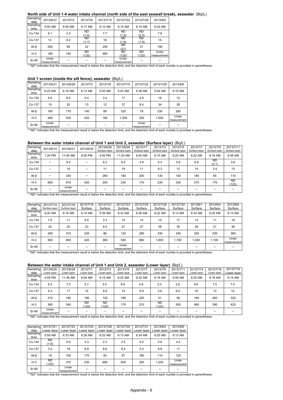#### **North side of Unit 1-4 water intake channel (north side of the east seawall break), seawater** (Bq/L)<br>Sampling 2012/6/27 2012/7/2 2012/7/2 2012/7/15 2012/7/22 2012/7/20 2012/7/20

| <b>Jamping</b><br>date | 2013/6/27            | 2013/7/3 | 2013/7/8           | 2013/7/15 | 2013/7/22                                                                                                                                      | 2013/7/29   | 2013/8/5             |
|------------------------|----------------------|----------|--------------------|-----------|------------------------------------------------------------------------------------------------------------------------------------------------|-------------|----------------------|
| Sampling<br>time       | 9:50 AM              | 6:50 AM  | 6:17 AM            | 6:12 AM   | 6:14 AM                                                                                                                                        | 6:15 AM     | 6:42 AM              |
| Cs-134                 | 6.1                  | 3.3      | ND.<br>(1.4)       | 7.7       | ND<br>(1.8)                                                                                                                                    | ND<br>(2.5) | 7.9                  |
| Cs-137                 | 13                   | 8.2      | ND.<br>(1.7)       | 18        | ND.<br>(1.8)                                                                                                                                   | ND<br>(1.9) | 15                   |
| All $\beta$            | 200                  | 99       | 22                 | 250       | ND<br>(21)                                                                                                                                     | 21          | 190                  |
| $H-3$                  | 180                  | 140      | <b>ND</b><br>(120) | 460       | ND.<br>(120)                                                                                                                                   | ND<br>(120) | Under<br>measurement |
| Sr-90                  | Under<br>measurement |          |                    |           | Under<br>measurement                                                                                                                           |             |                      |
|                        |                      |          |                    |           | * "ND" indicates that the measurement result is below the detection limit, and the detection limit of each nuclide is provided in parentheses. |             |                      |

#### **Unit 1 screen (inside the silt fence), seawater** (Bq/L)

| Sampling<br>date | 2013/6/21            | 2013/6/26 | 2013/7/3 | 2013/7/8 | 2013/7/15 | 2013/7/22            | 2013/7/29 | 2013/8/5             |
|------------------|----------------------|-----------|----------|----------|-----------|----------------------|-----------|----------------------|
| Sampling<br>time | 6:23 AM              | 6:18 AM   | 6:13 AM  | 5:45 AM  | 5:43 AM   | 5:38 AM              | 5:44 AM   | 6:10 AM              |
| Cs-134           | 6.9                  | 8.9       | 5.4      | 3.4      | 17        | 4.8                  | 16        | 12                   |
| Cs-137           | 15                   | 20        | 13       | 12       | 37        | 8.4                  | 34        | 28                   |
| All $\beta$      | 160                  | 170       | 140      | 89       | 320       | 79                   | 330       | 260                  |
| $H-3$            | 480                  | 530       | 420      | 180      | 1,300     | 320                  | 1,500     | Under<br>measurement |
| Sr-90            | Under<br>measurement |           |          |          |           | Under<br>measurement |           |                      |

measurement - --- Under measurement - - \* "ND" indicates that the measurement result is below the detection limit, and the detection limit of each nuclide is provided in parentheses.

#### **Between the water intake channel of Unit 1 and Unit 2, seawater (Surface layer)** (Bq/L)

| Sampling<br>date | 2013/6/14 | 2013/6/21                                                                                                                                      | 2013/6/24 | 2013/6/26<br>Surface layer | 2013/6/28<br>Surface layer | 2013/7/1<br>Surface laver | 2013/7/3<br>Surface laver | 2013/7/5<br>Surface laver | 2013/7/7<br>Surface laver | 2013/7/9<br>Surface laver | 2013/7/11<br>Surface laver |
|------------------|-----------|------------------------------------------------------------------------------------------------------------------------------------------------|-----------|----------------------------|----------------------------|---------------------------|---------------------------|---------------------------|---------------------------|---------------------------|----------------------------|
| Sampling<br>time | 1:20 PM   | 11:00 AM                                                                                                                                       | 6:00 PM   | 4:55 PM                    | 11:34 AM                   | 6:04 AM                   | 6:15 AM                   | 6:25 AM                   | 6:22 AM                   | 6:18 AM                   | 6:58 AM                    |
| Cs-134           |           | 9.4                                                                                                                                            |           | 6.2                        | 8.5                        | 4.9                       | 5.3                       | 5.6                       | 6.8                       | <b>ND</b><br>(2.1)        | 5.6                        |
| Cs-137           |           | 19                                                                                                                                             |           | 11                         | 19                         | 11                        | 9.3                       | 12                        | 15                        | 3.4                       | 13                         |
| All <sub>β</sub> |           | 330                                                                                                                                            |           | 260                        | 180                        | 200                       | 130                       | 150                       | 180                       | 65                        | 110                        |
| $H-3$            | 600       | 910                                                                                                                                            | 420       | 200                        | 230                        | 170                       | 230                       | 330                       | 570                       | 170                       | ND.<br>(120)               |
| Sr-90            |           | Under<br>measurement                                                                                                                           |           |                            |                            |                           |                           |                           |                           |                           |                            |
|                  |           | * "ND" indicates that the measurement result is below the detection limit, and the detection limit of each nuclide is provided in parentheses. |           |                            |                            |                           |                           |                           |                           |                           |                            |

| Sampling         | 2013/7/14     | 2013/7/16     | 2013/7/18 | 2013/7/21 | 2013/7/23                                                                                                                                      | 2013/7/25 | 2013/7/28 | 2013/7/30 | 2013/8/1 | 2013/8/4 | 2013/8/6             |
|------------------|---------------|---------------|-----------|-----------|------------------------------------------------------------------------------------------------------------------------------------------------|-----------|-----------|-----------|----------|----------|----------------------|
| date             | Surface laver | Surface laver | Surface   | Surface   | Surface                                                                                                                                        | Surface   | Surface   | Surface   | Surface  | Surface  | Surface              |
| Sampling<br>time | 6:20 AM       | 6:16 AM       | 6:14 AM   | 5:59 AM   | 6:33 AM                                                                                                                                        | $6:26$ AM | 6:22 AM   | 6:13 AM   | 6:34 AM  | 6:25 AM  | 6:13 AM              |
| Cs-134           | 7.9           | 11            | 9.5       | 3.3       | 15                                                                                                                                             | 14        | 15        | 17        | 13       | 11       | 19                   |
| Cs-137           | 20            | 25            | 23        | 8.5       | 27                                                                                                                                             | 27        | 38        | 35        | 28       | 21       | 36                   |
| All $\beta$      | 200           | 310           | 320       | 96        | 120                                                                                                                                            | 290       | 330       | 340       | 320      | 230      | 360                  |
| $H-3$            | 560           | 800           | 420       | 390       | 580                                                                                                                                            | 880       | 1.800     | 1.700     | 1.300    | 1,100    | Under<br>measurement |
| <b>Sr-90</b>     |               |               |           |           | Under<br>measurement                                                                                                                           |           |           |           |          |          |                      |
|                  |               |               |           |           | * "ND" indicates that the measurement result is below the detection limit, and the detection limit of each nuclide is provided in parentheses. |           |           |           |          |          |                      |

#### **Between the water intake channel of Unit 1 and Unit 2, seawater (Lower layer)** (Bq/L)

| Sampling<br>date | 2013/6/26<br>Lower laver | 2013/6/28<br>Lower laver | 2013/7/1<br>Lower laver | 2013/7/3<br>Lower laver | 2013/7/5<br>Lower laver | 2013/7/7<br>Lower laver | 2013/7/9<br>Lower laver | 2013/7/11<br>Lower laver | 2013/7/14<br>Lower laver | 2013/7/16<br>Lower laver | 2013/7/18<br>Lower laver |
|------------------|--------------------------|--------------------------|-------------------------|-------------------------|-------------------------|-------------------------|-------------------------|--------------------------|--------------------------|--------------------------|--------------------------|
| Sampling<br>time | 4:55 PM                  | 11:36 AM                 | 6:04 AM                 | 6:15 AM                 | 6:25 AM                 | 6:22 AM                 | 6:18 AM                 | 6:58 AM                  | 6:20 AM                  | 6:16 AM                  | 6:14 AM                  |
| Cs-134           | 6.2                      | 7.5                      | 5.7                     | 3.0                     | 6.8                     | 4.9                     | 2.0                     | 2.6                      | 9.6                      | 7.5                      | 7.0                      |
| Cs-137           | 9.3                      | 17                       | 14                      | 8.9                     | 14                      | 6.9                     | 3.6                     | 8.0                      | 18                       | 13                       | 14                       |
| All <sub>β</sub> | 210                      | 180                      | 180                     | 120                     | 180                     | 220                     | 51                      | 58                       | 180                      | 450                      | 320                      |
| $H-3$            | 360                      | 340                      | <b>ND</b><br>(120)      | <b>ND</b><br>(120)      | 170                     | 210                     | <b>ND</b><br>(120)      | 500                      | 460                      | 390                      | 420                      |
| Sr-90            | Under<br>measurement     |                          |                         |                         | -                       |                         |                         |                          |                          |                          |                          |

\* "ND" indicates that the measurement result is below the detection limit, and the detection limit of each nuclide is provided in parentheses.

| Sampling         | 2013/7/21          | 2013/7/23            | 2013/7/25   | 2013/7/28   | 2013/7/30   | 2013/7/31   | 2013/8/4    | 2013/8/6             |
|------------------|--------------------|----------------------|-------------|-------------|-------------|-------------|-------------|----------------------|
| date             | Lower layer        | Lower layer          | Lower layer | Lower laver | Lower laver | Lower laver | Lower laver | Lower laver          |
| Sampling<br>time | 5:59 AM            | 6:33 AM              | 6:26 AM     | 6:22 AM     | 6:13 AM     | 6:34 AM     | 6:25 AM     | 6:13 AM              |
| Cs-134           | <b>ND</b><br>(1.6) | 9.9                  | 4.3         | 2.3         | 2.5         | 4.0         | 5.8         | 4.2                  |
| Cs-137           | 3.2                | 19                   | 6.8         | 8.6         | 8.4         | 5.2         | 9.8         | 11                   |
| All $\beta$      | 19                 | 100                  | 170         | 93          | 97          | 180         | 110         | 120                  |
| $H-3$            | <b>ND</b><br>(120) | 370                  | 230         | 690         | 650         | 300         | 1,200       | Under<br>measurement |
| Sr-90            |                    | Under<br>moseuromont |             |             |             |             |             |                      |

measurement ------ \* "ND" indicates that the measurement result is below the detection limit, and the detection limit of each nuclide is provided in parentheses.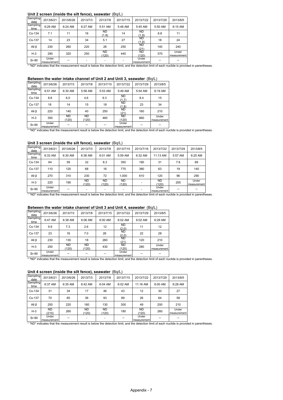#### **Unit 2 screen (inside the silt fence), seawater** (Bq/L)

| Sampling<br>date                                                                                                                               | 2013/6/21            | 2013/6/26 | 2013/7/3 | 2013/7/8     | 2013/7/15 | 2013/7/22            | 2013/7/29 | 2013/8/5             |  |
|------------------------------------------------------------------------------------------------------------------------------------------------|----------------------|-----------|----------|--------------|-----------|----------------------|-----------|----------------------|--|
| Sampling<br>time                                                                                                                               | 6:29 AM              | 6:24 AM   | 6:27 AM  | 5:51 AM      | 5:48 AM   | 5:45 AM              | 5:50 AM   | 6:15 AM              |  |
| Cs-134                                                                                                                                         | 7.1                  | 11        | 16       | ND.<br>(1.8) | 14        | <b>ND</b><br>(1.9)   | 6.8       | 11                   |  |
| Cs-137                                                                                                                                         | 14                   | 23        | 34       | 5.1          | 27        | ND.<br>(1.9)         | 18        | 24                   |  |
| All $\beta$                                                                                                                                    | 230                  | 260       | 220      | 26           | 250       | ND.<br>(21)          | 140       | 240                  |  |
| $H-3$                                                                                                                                          | 290                  | 320       | 250      | ND.<br>(120) | 440       | ND.<br>(120)         | 370       | Under<br>measurement |  |
| Sr-90                                                                                                                                          | Under<br>measurement |           |          |              |           | Under<br>measurement |           |                      |  |
| * "ND" indicates that the measurement result is below the detection limit, and the detection limit of each nuclide is provided in parentheses. |                      |           |          |              |           |                      |           |                      |  |

#### **Between the water intake channel of Unit 2 and Unit 3, seawater** (Bq/L)

|                  |           |             |              |           |                    |           | $\sqrt{2}$           |
|------------------|-----------|-------------|--------------|-----------|--------------------|-----------|----------------------|
| Sampling<br>date | 2013/6/26 | 2013/7/3    | 2013/7/8     | 2013/7/15 | 2013/7/22          | 2013/7/29 | 2013/8/5             |
| Sampling<br>time | 6:51 AM   | 6:30 AM     | 5:56 AM      | 5:53 AM   | 5:49 AM            | 5:54 AM   | 6:19 AM              |
| Cs-134           | 8.8       | 6.0         | 4.6          | 9.3       | <b>ND</b><br>(1.7) | 8.4       | 15                   |
| Cs-137           | 18        | 14          | 15           | 18        | <b>ND</b><br>(1.8) | 23        | 34                   |
| All <sub>β</sub> | 220       | 140         | 40           | 250       | <b>ND</b><br>(21)  | 160       | 210                  |
| $H-3$            | 350       | ND<br>(120) | ND.<br>(120) | 460       | <b>ND</b><br>(120) | 660       | Under<br>measurement |
| $Sr-90$          | Under     |             |              |           | Under              |           |                      |

Sr-90  $\frac{$  Under  $\frac{ }{ }$  =  $\frac{ }{ }$  =  $\frac{ }{ }$  =  $\frac{ }{ }$  measurement  $\frac{ }{ }$  =  $\frac{ }{ }$  =  $\frac{ }{ }$  =  $\frac{ }{ }$  =  $\frac{ }{ }$  =  $\frac{ }{ }$  =  $\frac{ }{ }$  =  $\frac{ }{ }$  =  $\frac{ }{ }$  =  $\frac{ }{ }$  =  $\frac{ }{ }$  =  $\frac{ }{ }$  =  $\frac{ }{ }$  =  $\frac{ }{$ 

#### **Unit 3 screen (inside the silt fence), seawater** (Bq/L)

| Sampling<br>2013/6/21 | 2013/6/26 | 2013/7/3           | 2013/7/8     | 2013/7/15          | 2013/7/16 | 2013/7/22   | 2013/7/29   | 2013/8/5             |
|-----------------------|-----------|--------------------|--------------|--------------------|-----------|-------------|-------------|----------------------|
| 6:33 AM               | 6:30 AM   | 6:36 AM            | 6:01 AM      | 5:59 AM            | 6:32 AM   | 11:13 AM    | 5:57 AM     | 6:25 AM              |
| 64                    | 59        | 32                 | 8.3          | 350                | 190       | 31          | 7.6         | 69                   |
| 110                   | 120       | 68                 | 16           | 770                | 380       | 63          | 19          | 140                  |
| 270                   | 310       | 230                | 72           | 1.000              | 610       | 120         | 96          | 290                  |
| 220                   | 190       | <b>ND</b><br>(120) | ND.<br>(120) | <b>ND</b><br>(120) |           | ND<br>(120) | 200         | Under<br>measurement |
| Under<br>measurement  |           |                    |              |                    |           | Under       |             |                      |
|                       |           |                    |              |                    |           |             | measurement |                      |

#### **Between the water intake channel of Unit 3 and Unit 4, seawater** (Bq/L)

| Sampling<br>date | 2013/6/26            | 2013/7/3           | 2013/7/8           | 2013/7/15 | 2013/7/22            | 2013/7/29 | 2013/8/5             |                                                                                                                                                |
|------------------|----------------------|--------------------|--------------------|-----------|----------------------|-----------|----------------------|------------------------------------------------------------------------------------------------------------------------------------------------|
| Sampling<br>time | 6:47 AM              | 6:38 AM            | 6:06 AM            | 6:00 AM   | 6:02 AM              | $6:02$ AM | 6:29 AM              |                                                                                                                                                |
| Cs-134           | 9.9                  | 7.3                | 2.6                | 12        | <b>ND</b><br>(2.0)   | 11        | 12                   |                                                                                                                                                |
| Cs-137           | 23                   | 16                 | 7.0                | 26        | ND.<br>(2.0)         | 22        | 28                   |                                                                                                                                                |
| All <sub>B</sub> | 230                  | 130                | 18                 | 260       | ND.<br>(21)          | 120       | 210                  |                                                                                                                                                |
| $H-3$            | 250                  | <b>ND</b><br>(120) | <b>ND</b><br>(120) | 430       | ND<br>(120)          | 280       | Under<br>measurement |                                                                                                                                                |
| Sr-90            | Under<br>measurement |                    |                    |           | Under<br>measurement |           |                      |                                                                                                                                                |
|                  |                      |                    |                    |           |                      |           |                      | * "ND" indicates that the measurement result is below the detection limit, and the detection limit of each nuclide is provided in parentheses. |

#### **Unit 4 screen (inside the silt fence), seawater** (Bq/L)

| Sampling<br>date | 2013/6/21            | 2013/6/26 | 2013/7/3           | 2013/7/8                 | 2013/7/15 | 2013/7/22            | 2013/7/29 | 2013/8/5             |
|------------------|----------------------|-----------|--------------------|--------------------------|-----------|----------------------|-----------|----------------------|
| Sampling<br>time | 6:37 AM              | 6:35 AM   | 6:42 AM            | 6:04 AM                  | 6:02 AM   | 11:16 AM             | 6:00 AM   | 6:28 AM              |
| Cs-134           | 31                   | 34        | 17                 | 46                       | 43        | 12                   | 30        | 27                   |
| Cs-137           | 70                   | 65        | 36                 | 93                       | 89        | 26                   | 64        | 58                   |
| All $\beta$      | 250                  | 220       | 160                | 130                      | 300       | 49                   | 200       | 210                  |
| $H-3$            | <b>ND</b><br>(210)   | 260       | <b>ND</b><br>(120) | ND.<br>(120)             | 180       | ND.<br>(120)         | 260       | Under<br>measurement |
| Sr-90            | Under<br>measurement |           |                    | $\overline{\phantom{a}}$ |           | Under<br>measurement |           |                      |

\* "ND" indicates that the measurement result is below the detection limit, and the detection limit of each nuclide is provided in parentheses.